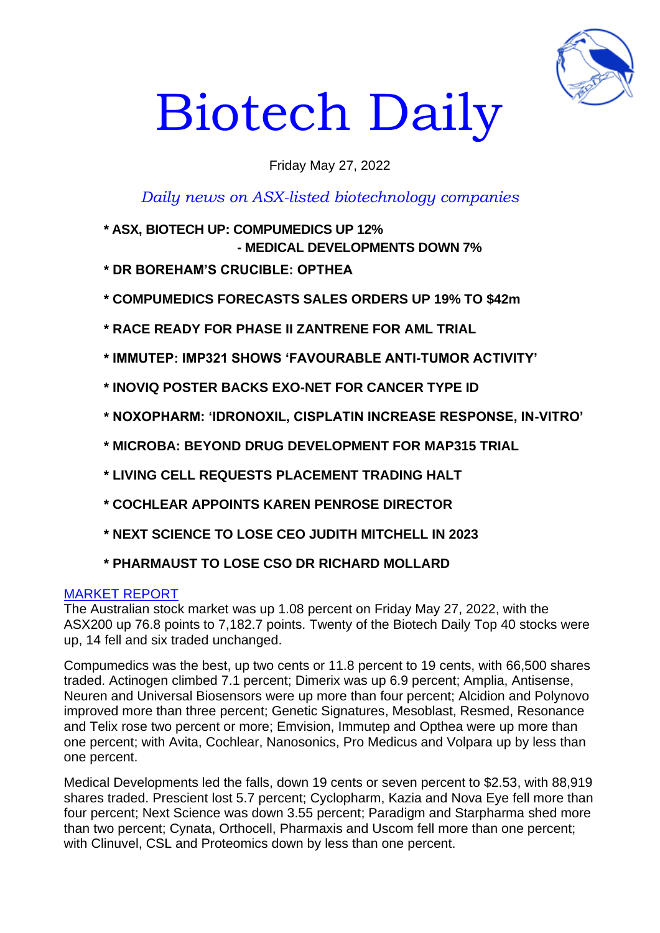

# Biotech Daily

# Friday May 27, 2022

*Daily news on ASX-listed biotechnology companies*

- **\* ASX, BIOTECH UP: COMPUMEDICS UP 12% - MEDICAL DEVELOPMENTS DOWN 7%**
- **\* DR BOREHAM'S CRUCIBLE: OPTHEA**
- **\* COMPUMEDICS FORECASTS SALES ORDERS UP 19% TO \$42m**
- **\* RACE READY FOR PHASE II ZANTRENE FOR AML TRIAL**
- **\* IMMUTEP: IMP321 SHOWS 'FAVOURABLE ANTI-TUMOR ACTIVITY'**
- **\* INOVIQ POSTER BACKS EXO-NET FOR CANCER TYPE ID**
- **\* NOXOPHARM: 'IDRONOXIL, CISPLATIN INCREASE RESPONSE, IN-VITRO'**
- **\* MICROBA: BEYOND DRUG DEVELOPMENT FOR MAP315 TRIAL**
- **\* LIVING CELL REQUESTS PLACEMENT TRADING HALT**
- **\* COCHLEAR APPOINTS KAREN PENROSE DIRECTOR**
- **\* NEXT SCIENCE TO LOSE CEO JUDITH MITCHELL IN 2023**

# **\* PHARMAUST TO LOSE CSO DR RICHARD MOLLARD**

# MARKET REPORT

The Australian stock market was up 1.08 percent on Friday May 27, 2022, with the ASX200 up 76.8 points to 7,182.7 points. Twenty of the Biotech Daily Top 40 stocks were up, 14 fell and six traded unchanged.

Compumedics was the best, up two cents or 11.8 percent to 19 cents, with 66,500 shares traded. Actinogen climbed 7.1 percent; Dimerix was up 6.9 percent; Amplia, Antisense, Neuren and Universal Biosensors were up more than four percent; Alcidion and Polynovo improved more than three percent; Genetic Signatures, Mesoblast, Resmed, Resonance and Telix rose two percent or more; Emvision, Immutep and Opthea were up more than one percent; with Avita, Cochlear, Nanosonics, Pro Medicus and Volpara up by less than one percent.

Medical Developments led the falls, down 19 cents or seven percent to \$2.53, with 88,919 shares traded. Prescient lost 5.7 percent; Cyclopharm, Kazia and Nova Eye fell more than four percent; Next Science was down 3.55 percent; Paradigm and Starpharma shed more than two percent; Cynata, Orthocell, Pharmaxis and Uscom fell more than one percent; with Clinuvel, CSL and Proteomics down by less than one percent.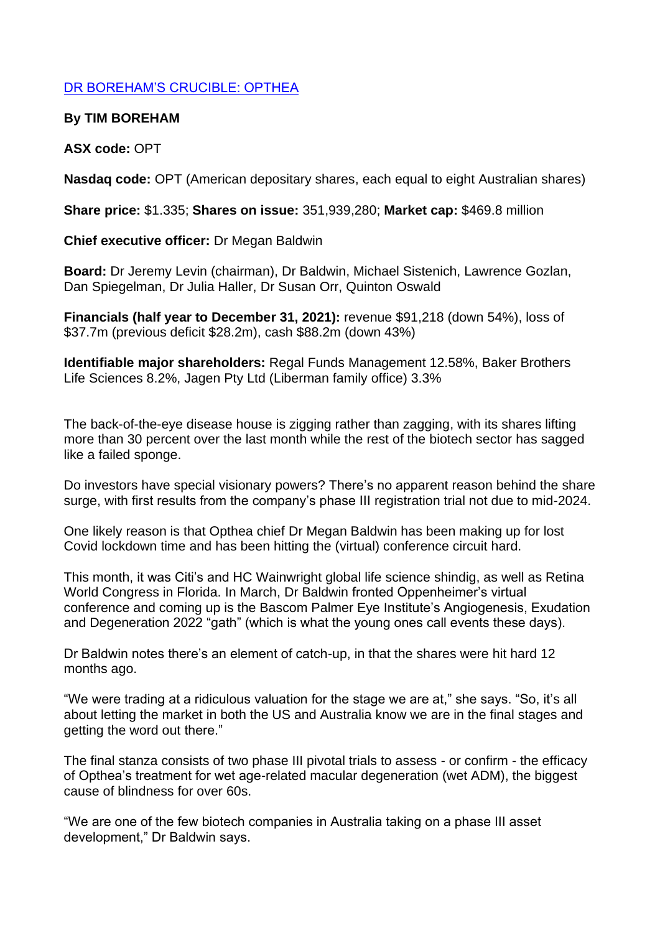# DR BOREHAM'S CRUCIBLE: OPTHEA

## **By TIM BOREHAM**

# **ASX code:** OPT

**Nasdaq code:** OPT (American depositary shares, each equal to eight Australian shares)

**Share price:** \$1.335; **Shares on issue:** 351,939,280; **Market cap:** \$469.8 million

**Chief executive officer:** Dr Megan Baldwin

**Board:** Dr Jeremy Levin (chairman), Dr Baldwin, Michael Sistenich, Lawrence Gozlan, Dan Spiegelman, Dr Julia Haller, Dr Susan Orr, Quinton Oswald

**Financials (half year to December 31, 2021):** revenue \$91,218 (down 54%), loss of \$37.7m (previous deficit \$28.2m), cash \$88.2m (down 43%)

**Identifiable major shareholders:** Regal Funds Management 12.58%, Baker Brothers Life Sciences 8.2%, Jagen Pty Ltd (Liberman family office) 3.3%

The back-of-the-eye disease house is zigging rather than zagging, with its shares lifting more than 30 percent over the last month while the rest of the biotech sector has sagged like a failed sponge.

Do investors have special visionary powers? There's no apparent reason behind the share surge, with first results from the company's phase III registration trial not due to mid-2024.

One likely reason is that Opthea chief Dr Megan Baldwin has been making up for lost Covid lockdown time and has been hitting the (virtual) conference circuit hard.

This month, it was Citi's and HC Wainwright global life science shindig, as well as Retina World Congress in Florida. In March, Dr Baldwin fronted Oppenheimer's virtual conference and coming up is the Bascom Palmer Eye Institute's Angiogenesis, Exudation and Degeneration 2022 "gath" (which is what the young ones call events these days).

Dr Baldwin notes there's an element of catch-up, in that the shares were hit hard 12 months ago.

"We were trading at a ridiculous valuation for the stage we are at," she says. "So, it's all about letting the market in both the US and Australia know we are in the final stages and getting the word out there."

The final stanza consists of two phase III pivotal trials to assess - or confirm - the efficacy of Opthea's treatment for wet age-related macular degeneration (wet ADM), the biggest cause of blindness for over 60s.

"We are one of the few biotech companies in Australia taking on a phase III asset development," Dr Baldwin says.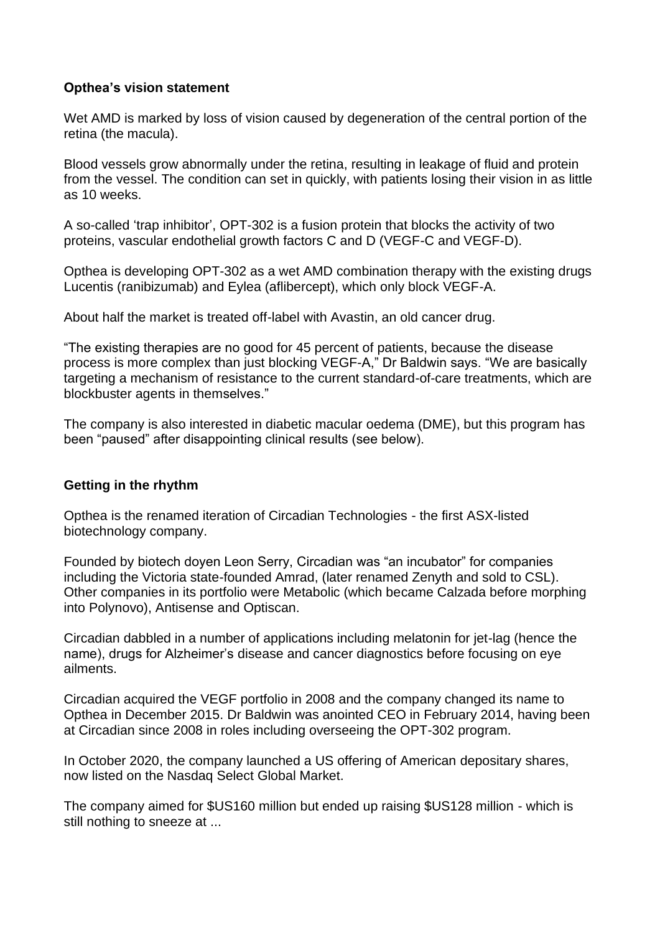## **Opthea's vision statement**

Wet AMD is marked by loss of vision caused by degeneration of the central portion of the retina (the macula).

Blood vessels grow abnormally under the retina, resulting in leakage of fluid and protein from the vessel. The condition can set in quickly, with patients losing their vision in as little as 10 weeks.

A so-called 'trap inhibitor', OPT-302 is a fusion protein that blocks the activity of two proteins, vascular endothelial growth factors C and D (VEGF-C and VEGF-D).

Opthea is developing OPT-302 as a wet AMD combination therapy with the existing drugs Lucentis (ranibizumab) and Eylea (aflibercept), which only block VEGF-A.

About half the market is treated off-label with Avastin, an old cancer drug.

"The existing therapies are no good for 45 percent of patients, because the disease process is more complex than just blocking VEGF-A," Dr Baldwin says. "We are basically targeting a mechanism of resistance to the current standard-of-care treatments, which are blockbuster agents in themselves."

The company is also interested in diabetic macular oedema (DME), but this program has been "paused" after disappointing clinical results (see below).

## **Getting in the rhythm**

Opthea is the renamed iteration of Circadian Technologies - the first ASX-listed biotechnology company.

Founded by biotech doyen Leon Serry, Circadian was "an incubator" for companies including the Victoria state-founded Amrad, (later renamed Zenyth and sold to CSL). Other companies in its portfolio were Metabolic (which became Calzada before morphing into Polynovo), Antisense and Optiscan.

Circadian dabbled in a number of applications including melatonin for jet-lag (hence the name), drugs for Alzheimer's disease and cancer diagnostics before focusing on eye ailments.

Circadian acquired the VEGF portfolio in 2008 and the company changed its name to Opthea in December 2015. Dr Baldwin was anointed CEO in February 2014, having been at Circadian since 2008 in roles including overseeing the OPT-302 program.

In October 2020, the company launched a US offering of American depositary shares, now listed on the Nasdaq Select Global Market.

The company aimed for \$US160 million but ended up raising \$US128 million - which is still nothing to sneeze at ...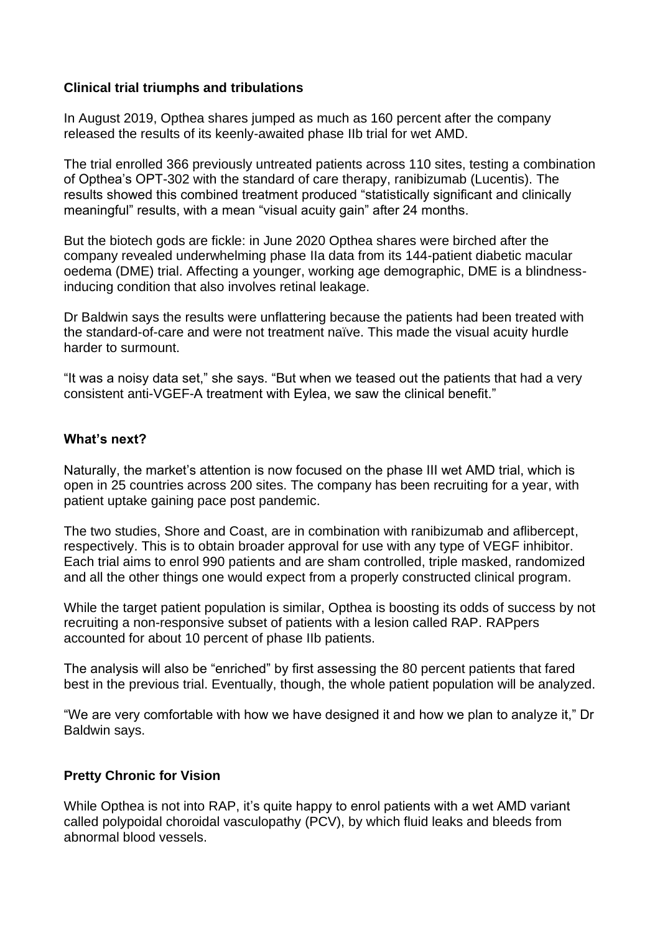## **Clinical trial triumphs and tribulations**

In August 2019, Opthea shares jumped as much as 160 percent after the company released the results of its keenly-awaited phase IIb trial for wet AMD.

The trial enrolled 366 previously untreated patients across 110 sites, testing a combination of Opthea's OPT-302 with the standard of care therapy, ranibizumab (Lucentis). The results showed this combined treatment produced "statistically significant and clinically meaningful" results, with a mean "visual acuity gain" after 24 months.

But the biotech gods are fickle: in June 2020 Opthea shares were birched after the company revealed underwhelming phase IIa data from its 144-patient diabetic macular oedema (DME) trial. Affecting a younger, working age demographic, DME is a blindnessinducing condition that also involves retinal leakage.

Dr Baldwin says the results were unflattering because the patients had been treated with the standard-of-care and were not treatment naïve. This made the visual acuity hurdle harder to surmount.

"It was a noisy data set," she says. "But when we teased out the patients that had a very consistent anti-VGEF-A treatment with Eylea, we saw the clinical benefit."

## **What's next?**

Naturally, the market's attention is now focused on the phase III wet AMD trial, which is open in 25 countries across 200 sites. The company has been recruiting for a year, with patient uptake gaining pace post pandemic.

The two studies, Shore and Coast, are in combination with ranibizumab and aflibercept, respectively. This is to obtain broader approval for use with any type of VEGF inhibitor. Each trial aims to enrol 990 patients and are sham controlled, triple masked, randomized and all the other things one would expect from a properly constructed clinical program.

While the target patient population is similar, Opthea is boosting its odds of success by not recruiting a non-responsive subset of patients with a lesion called RAP. RAPpers accounted for about 10 percent of phase IIb patients.

The analysis will also be "enriched" by first assessing the 80 percent patients that fared best in the previous trial. Eventually, though, the whole patient population will be analyzed.

"We are very comfortable with how we have designed it and how we plan to analyze it," Dr Baldwin says.

# **Pretty Chronic for Vision**

While Opthea is not into RAP, it's quite happy to enrol patients with a wet AMD variant called polypoidal choroidal vasculopathy (PCV), by which fluid leaks and bleeds from abnormal blood vessels.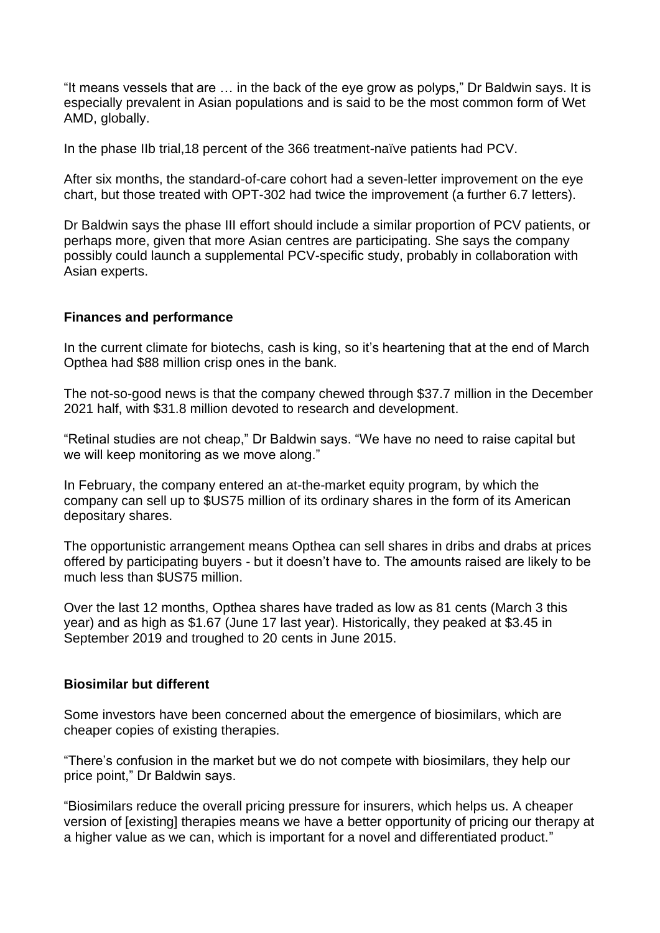"It means vessels that are … in the back of the eye grow as polyps," Dr Baldwin says. It is especially prevalent in Asian populations and is said to be the most common form of Wet AMD, globally.

In the phase IIb trial,18 percent of the 366 treatment-naïve patients had PCV.

After six months, the standard-of-care cohort had a seven-letter improvement on the eye chart, but those treated with OPT-302 had twice the improvement (a further 6.7 letters).

Dr Baldwin says the phase III effort should include a similar proportion of PCV patients, or perhaps more, given that more Asian centres are participating. She says the company possibly could launch a supplemental PCV-specific study, probably in collaboration with Asian experts.

## **Finances and performance**

In the current climate for biotechs, cash is king, so it's heartening that at the end of March Opthea had \$88 million crisp ones in the bank.

The not-so-good news is that the company chewed through \$37.7 million in the December 2021 half, with \$31.8 million devoted to research and development.

"Retinal studies are not cheap," Dr Baldwin says. "We have no need to raise capital but we will keep monitoring as we move along."

In February, the company entered an at-the-market equity program, by which the company can sell up to \$US75 million of its ordinary shares in the form of its American depositary shares.

The opportunistic arrangement means Opthea can sell shares in dribs and drabs at prices offered by participating buyers - but it doesn't have to. The amounts raised are likely to be much less than \$US75 million.

Over the last 12 months, Opthea shares have traded as low as 81 cents (March 3 this year) and as high as \$1.67 (June 17 last year). Historically, they peaked at \$3.45 in September 2019 and troughed to 20 cents in June 2015.

## **Biosimilar but different**

Some investors have been concerned about the emergence of biosimilars, which are cheaper copies of existing therapies.

"There's confusion in the market but we do not compete with biosimilars, they help our price point," Dr Baldwin says.

"Biosimilars reduce the overall pricing pressure for insurers, which helps us. A cheaper version of [existing] therapies means we have a better opportunity of pricing our therapy at a higher value as we can, which is important for a novel and differentiated product."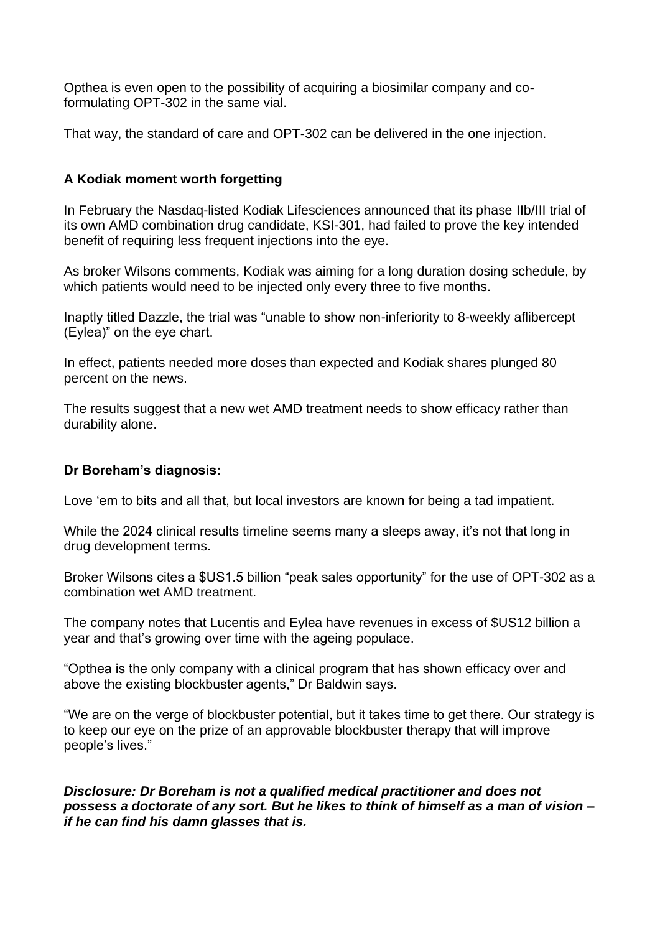Opthea is even open to the possibility of acquiring a biosimilar company and coformulating OPT-302 in the same vial.

That way, the standard of care and OPT-302 can be delivered in the one injection.

# **A Kodiak moment worth forgetting**

In February the Nasdaq-listed Kodiak Lifesciences announced that its phase IIb/III trial of its own AMD combination drug candidate, KSI-301, had failed to prove the key intended benefit of requiring less frequent injections into the eye.

As broker Wilsons comments, Kodiak was aiming for a long duration dosing schedule, by which patients would need to be injected only every three to five months.

Inaptly titled Dazzle, the trial was "unable to show non-inferiority to 8-weekly aflibercept (Eylea)" on the eye chart.

In effect, patients needed more doses than expected and Kodiak shares plunged 80 percent on the news.

The results suggest that a new wet AMD treatment needs to show efficacy rather than durability alone.

## **Dr Boreham's diagnosis:**

Love 'em to bits and all that, but local investors are known for being a tad impatient.

While the 2024 clinical results timeline seems many a sleeps away, it's not that long in drug development terms.

Broker Wilsons cites a \$US1.5 billion "peak sales opportunity" for the use of OPT-302 as a combination wet AMD treatment.

The company notes that Lucentis and Eylea have revenues in excess of \$US12 billion a year and that's growing over time with the ageing populace.

"Opthea is the only company with a clinical program that has shown efficacy over and above the existing blockbuster agents," Dr Baldwin says.

"We are on the verge of blockbuster potential, but it takes time to get there. Our strategy is to keep our eye on the prize of an approvable blockbuster therapy that will improve people's lives."

*Disclosure: Dr Boreham is not a qualified medical practitioner and does not possess a doctorate of any sort. But he likes to think of himself as a man of vision – if he can find his damn glasses that is.*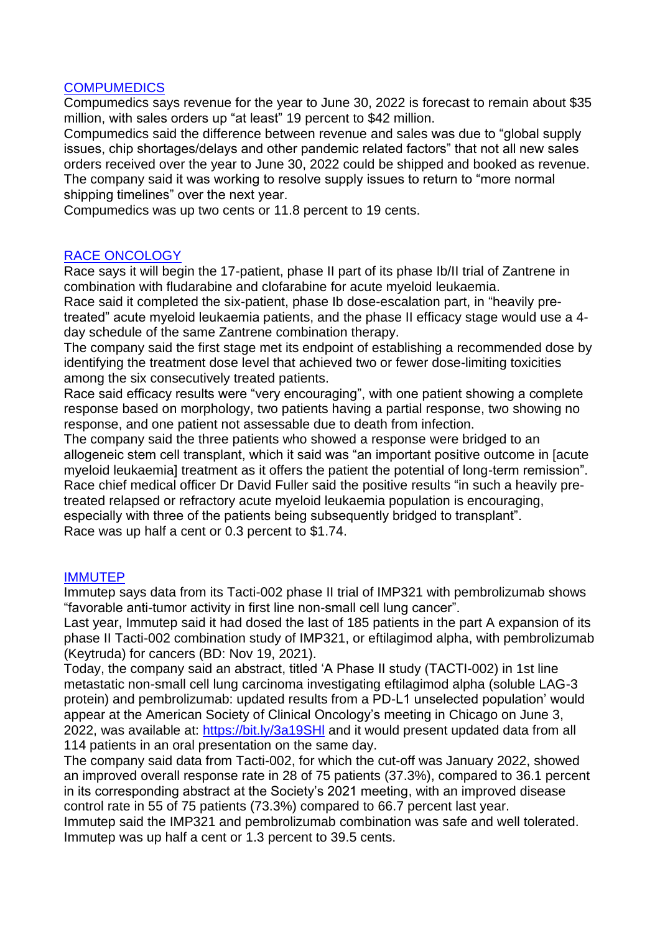#### **COMPUMEDICS**

Compumedics says revenue for the year to June 30, 2022 is forecast to remain about \$35 million, with sales orders up "at least" 19 percent to \$42 million.

Compumedics said the difference between revenue and sales was due to "global supply issues, chip shortages/delays and other pandemic related factors" that not all new sales orders received over the year to June 30, 2022 could be shipped and booked as revenue. The company said it was working to resolve supply issues to return to "more normal shipping timelines" over the next year.

Compumedics was up two cents or 11.8 percent to 19 cents.

## RACE ONCOLOGY

Race says it will begin the 17-patient, phase II part of its phase Ib/II trial of Zantrene in combination with fludarabine and clofarabine for acute myeloid leukaemia.

Race said it completed the six-patient, phase Ib dose-escalation part, in "heavily pretreated" acute myeloid leukaemia patients, and the phase II efficacy stage would use a 4 day schedule of the same Zantrene combination therapy.

The company said the first stage met its endpoint of establishing a recommended dose by identifying the treatment dose level that achieved two or fewer dose-limiting toxicities among the six consecutively treated patients.

Race said efficacy results were "very encouraging", with one patient showing a complete response based on morphology, two patients having a partial response, two showing no response, and one patient not assessable due to death from infection.

The company said the three patients who showed a response were bridged to an allogeneic stem cell transplant, which it said was "an important positive outcome in [acute myeloid leukaemia] treatment as it offers the patient the potential of long-term remission". Race chief medical officer Dr David Fuller said the positive results "in such a heavily pretreated relapsed or refractory acute myeloid leukaemia population is encouraging, especially with three of the patients being subsequently bridged to transplant". Race was up half a cent or 0.3 percent to \$1.74.

## **IMMUTEP**

Immutep says data from its Tacti-002 phase II trial of IMP321 with pembrolizumab shows "favorable anti-tumor activity in first line non-small cell lung cancer".

Last year, Immutep said it had dosed the last of 185 patients in the part A expansion of its phase II Tacti-002 combination study of IMP321, or eftilagimod alpha, with pembrolizumab (Keytruda) for cancers (BD: Nov 19, 2021).

Today, the company said an abstract, titled 'A Phase II study (TACTI-002) in 1st line metastatic non-small cell lung carcinoma investigating eftilagimod alpha (soluble LAG-3 protein) and pembrolizumab: updated results from a PD-L1 unselected population' would appear at the American Society of Clinical Oncology's meeting in Chicago on June 3, 2022, was available at: https://bit.ly/3a19SHI and it would present updated data from all 114 patients in an oral presentation on the same day.

The company said data from Tacti-002, for which the cut-off was January 2022, showed an improved overall response rate in 28 of 75 patients (37.3%), compared to 36.1 percent in its corresponding abstract at the Society's 2021 meeting, with an improved disease control rate in 55 of 75 patients (73.3%) compared to 66.7 percent last year.

Immutep said the IMP321 and pembrolizumab combination was safe and well tolerated. Immutep was up half a cent or 1.3 percent to 39.5 cents.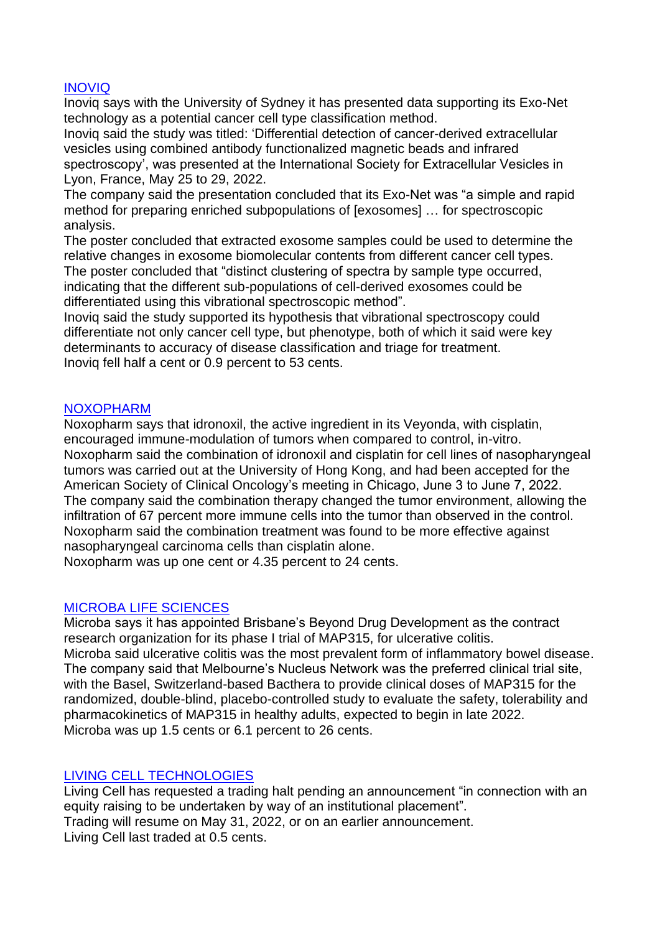## INOVIQ

Inoviq says with the University of Sydney it has presented data supporting its Exo-Net technology as a potential cancer cell type classification method.

Inoviq said the study was titled: 'Differential detection of cancer-derived extracellular vesicles using combined antibody functionalized magnetic beads and infrared spectroscopy', was presented at the International Society for Extracellular Vesicles in Lyon, France, May 25 to 29, 2022.

The company said the presentation concluded that its Exo-Net was "a simple and rapid method for preparing enriched subpopulations of [exosomes] … for spectroscopic analysis.

The poster concluded that extracted exosome samples could be used to determine the relative changes in exosome biomolecular contents from different cancer cell types. The poster concluded that "distinct clustering of spectra by sample type occurred, indicating that the different sub-populations of cell-derived exosomes could be differentiated using this vibrational spectroscopic method".

Inoviq said the study supported its hypothesis that vibrational spectroscopy could differentiate not only cancer cell type, but phenotype, both of which it said were key determinants to accuracy of disease classification and triage for treatment. Inoviq fell half a cent or 0.9 percent to 53 cents.

#### NOXOPHARM

Noxopharm says that idronoxil, the active ingredient in its Veyonda, with cisplatin, encouraged immune-modulation of tumors when compared to control, in-vitro. Noxopharm said the combination of idronoxil and cisplatin for cell lines of nasopharyngeal tumors was carried out at the University of Hong Kong, and had been accepted for the American Society of Clinical Oncology's meeting in Chicago, June 3 to June 7, 2022. The company said the combination therapy changed the tumor environment, allowing the infiltration of 67 percent more immune cells into the tumor than observed in the control. Noxopharm said the combination treatment was found to be more effective against nasopharyngeal carcinoma cells than cisplatin alone.

Noxopharm was up one cent or 4.35 percent to 24 cents.

## MICROBA LIFE SCIENCES

Microba says it has appointed Brisbane's Beyond Drug Development as the contract research organization for its phase I trial of MAP315, for ulcerative colitis. Microba said ulcerative colitis was the most prevalent form of inflammatory bowel disease. The company said that Melbourne's Nucleus Network was the preferred clinical trial site, with the Basel, Switzerland-based Bacthera to provide clinical doses of MAP315 for the randomized, double-blind, placebo-controlled study to evaluate the safety, tolerability and pharmacokinetics of MAP315 in healthy adults, expected to begin in late 2022. Microba was up 1.5 cents or 6.1 percent to 26 cents.

## LIVING CELL TECHNOLOGIES

Living Cell has requested a trading halt pending an announcement "in connection with an equity raising to be undertaken by way of an institutional placement". Trading will resume on May 31, 2022, or on an earlier announcement. Living Cell last traded at 0.5 cents.